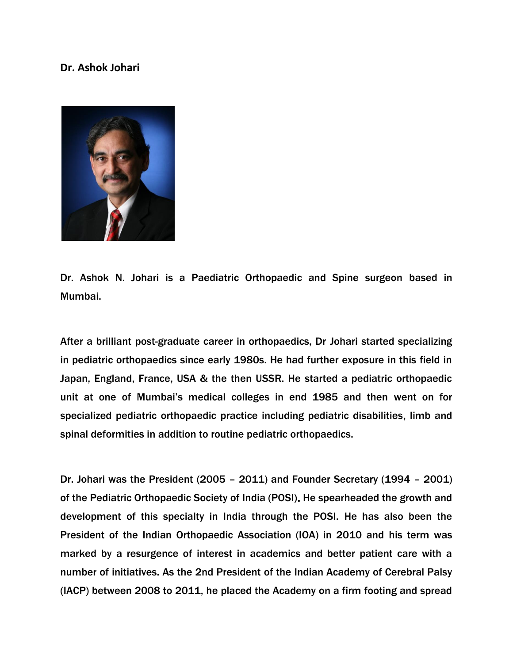## **Dr. Ashok Johari**



Dr. Ashok N. Johari is a Paediatric Orthopaedic and Spine surgeon based in Mumbai.

After a brilliant post-graduate career in orthopaedics, Dr Johari started specializing in pediatric orthopaedics since early 1980s. He had further exposure in this field in Japan, England, France, USA & the then USSR. He started a pediatric orthopaedic unit at one of Mumbai's medical colleges in end 1985 and then went on for specialized pediatric orthopaedic practice including pediatric disabilities, limb and spinal deformities in addition to routine pediatric orthopaedics.

Dr. Johari was the President (2005 – 2011) and Founder Secretary (1994 – 2001) of the Pediatric Orthopaedic Society of India (POSI). He spearheaded the growth and development of this specialty in India through the POSI. He has also been the President of the Indian Orthopaedic Association (IOA) in 2010 and his term was marked by a resurgence of interest in academics and better patient care with a number of initiatives. As the 2nd President of the Indian Academy of Cerebral Palsy (IACP) between 2008 to 2011, he placed the Academy on a firm footing and spread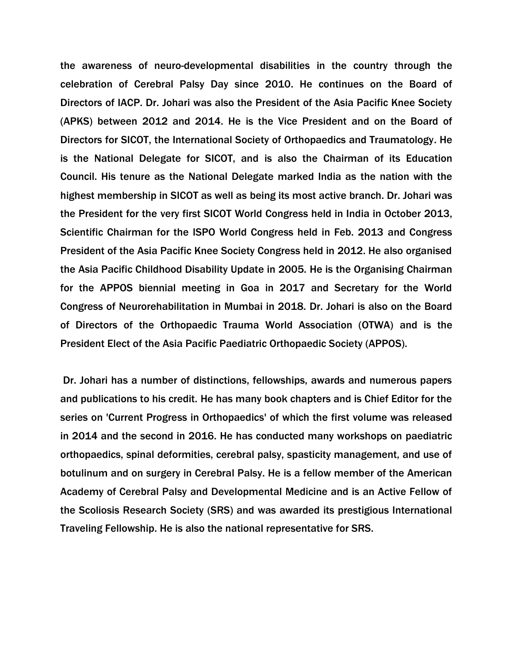the awareness of neuro-developmental disabilities in the country through the celebration of Cerebral Palsy Day since 2010. He continues on the Board of Directors of IACP. Dr. Johari was also the President of the Asia Pacific Knee Society (APKS) between 2012 and 2014. He is the Vice President and on the Board of Directors for SICOT, the International Society of Orthopaedics and Traumatology. He is the National Delegate for SICOT, and is also the Chairman of its Education Council. His tenure as the National Delegate marked India as the nation with the highest membership in SICOT as well as being its most active branch. Dr. Johari was the President for the very first SICOT World Congress held in India in October 2013, Scientific Chairman for the ISPO World Congress held in Feb. 2013 and Congress President of the Asia Pacific Knee Society Congress held in 2012. He also organised the Asia Pacific Childhood Disability Update in 2005. He is the Organising Chairman for the APPOS biennial meeting in Goa in 2017 and Secretary for the World Congress of Neurorehabilitation in Mumbai in 2018. Dr. Johari is also on the Board of Directors of the Orthopaedic Trauma World Association (OTWA) and is the President Elect of the Asia Pacific Paediatric Orthopaedic Society (APPOS).

Dr. Johari has a number of distinctions, fellowships, awards and numerous papers and publications to his credit. He has many book chapters and is Chief Editor for the series on 'Current Progress in Orthopaedics' of which the first volume was released in 2014 and the second in 2016. He has conducted many workshops on paediatric orthopaedics, spinal deformities, cerebral palsy, spasticity management, and use of botulinum and on surgery in Cerebral Palsy. He is a fellow member of the American Academy of Cerebral Palsy and Developmental Medicine and is an Active Fellow of the Scoliosis Research Society (SRS) and was awarded its prestigious International Traveling Fellowship. He is also the national representative for SRS.